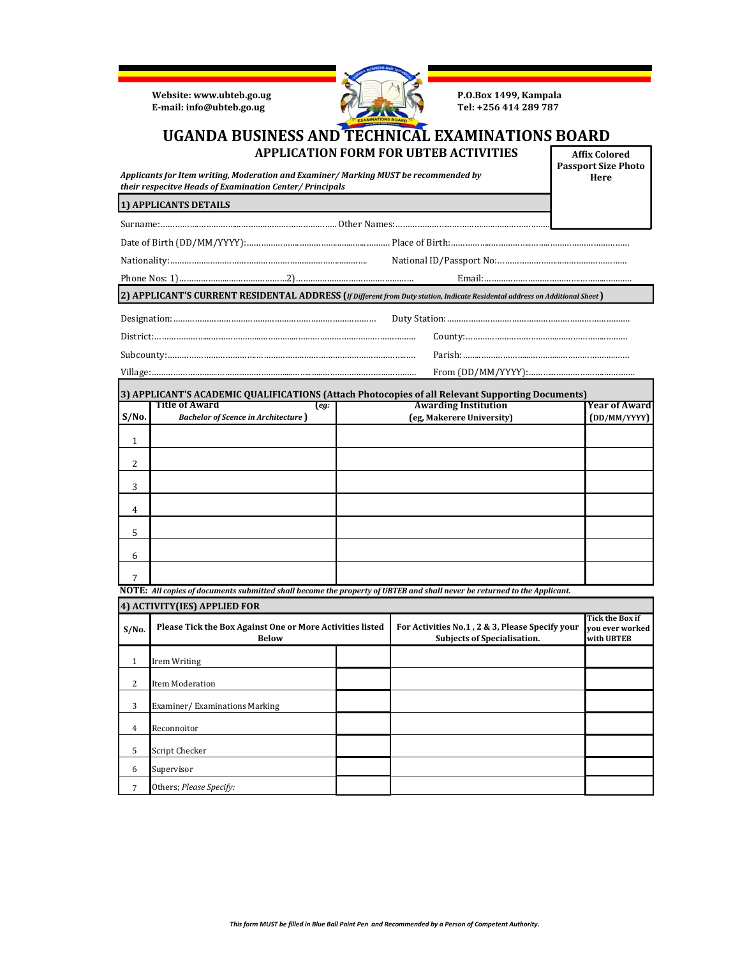**Website:** www.ubteb.go.ug **P.O.Box 1499, Kampala**<br> **E-mail:** info@ubteb.go.ug **P.O.Box 1499, Kampala**  $E$ **·mail: info@ubteb.go.ug** 



**Passport Size Photo Here**

## **UGANDA BUSINESS AND TECHNICAL EXAMINATIONS BOARD APPLICATION FORM FOR UBTEB ACTIVITIES Affix Colored**

*Applicants for Item writing, Moderation and Examiner/ Marking MUST be recommended by their respecitve Heads of Examination Center/ Principals*

## **1) APPLICANTS DETAILS**

Surname:…………….……………...………..…………………………Other Names:…………………...………….…..………………………………….…………

Date of Birth (DD/MM/YYYY):………………….……………...…...…..………. Place of Birth:……………..……………..……..……………………………

Nationality:……………..…………………………………..…………...………. National ID/Passport No:……………………...………………………

Phone Nos: 1)………………...……………………2)………….……………………………… Email:………………………………….………...……….

2) APPLICANT'S CURRENT RESIDENTAL ADDRESS (*If Different from Duty station, Indicate Residental address on Additional Sheet*)

**3) APPLICANT'S ACADEMIC QUALIFICATIONS (Attach Photocopies of all Relevant Supporting Documents) Title of Award (***eg:* **Year of Award Awarding Institution** 

| S/No.          | <b>Bachelor of Scence in Architecture</b> ) | (eg, Makerere University) | (DD/MM/YYYY) |
|----------------|---------------------------------------------|---------------------------|--------------|
| 1              |                                             |                           |              |
| 2              |                                             |                           |              |
| 3              |                                             |                           |              |
| $\overline{4}$ |                                             |                           |              |
| 5              |                                             |                           |              |
| 6              |                                             |                           |              |
| 7              |                                             |                           |              |

NOTE: All copies of documents submitted shall become the property of UBTEB and shall never be returned to the Applicant.

| 4) ACTIVITY(IES) APPLIED FOR |                                                                           |  |                                                                                       |                                                         |
|------------------------------|---------------------------------------------------------------------------|--|---------------------------------------------------------------------------------------|---------------------------------------------------------|
| S/No.                        | Please Tick the Box Against One or More Activities listed<br><b>Below</b> |  | For Activities No.1, 2 & 3, Please Specify your<br><b>Subjects of Specialisation.</b> | <b>Tick the Box if</b><br>vou ever worked<br>with UBTEB |
| $\mathbf{1}$                 | Irem Writing                                                              |  |                                                                                       |                                                         |
| 2                            | Item Moderation                                                           |  |                                                                                       |                                                         |
| 3                            | Examiner/Examinations Marking                                             |  |                                                                                       |                                                         |
| 4                            | Reconnoitor                                                               |  |                                                                                       |                                                         |
| 5                            | Script Checker                                                            |  |                                                                                       |                                                         |
| 6                            | Supervisor                                                                |  |                                                                                       |                                                         |
| 7                            | Others; Please Specify:                                                   |  |                                                                                       |                                                         |